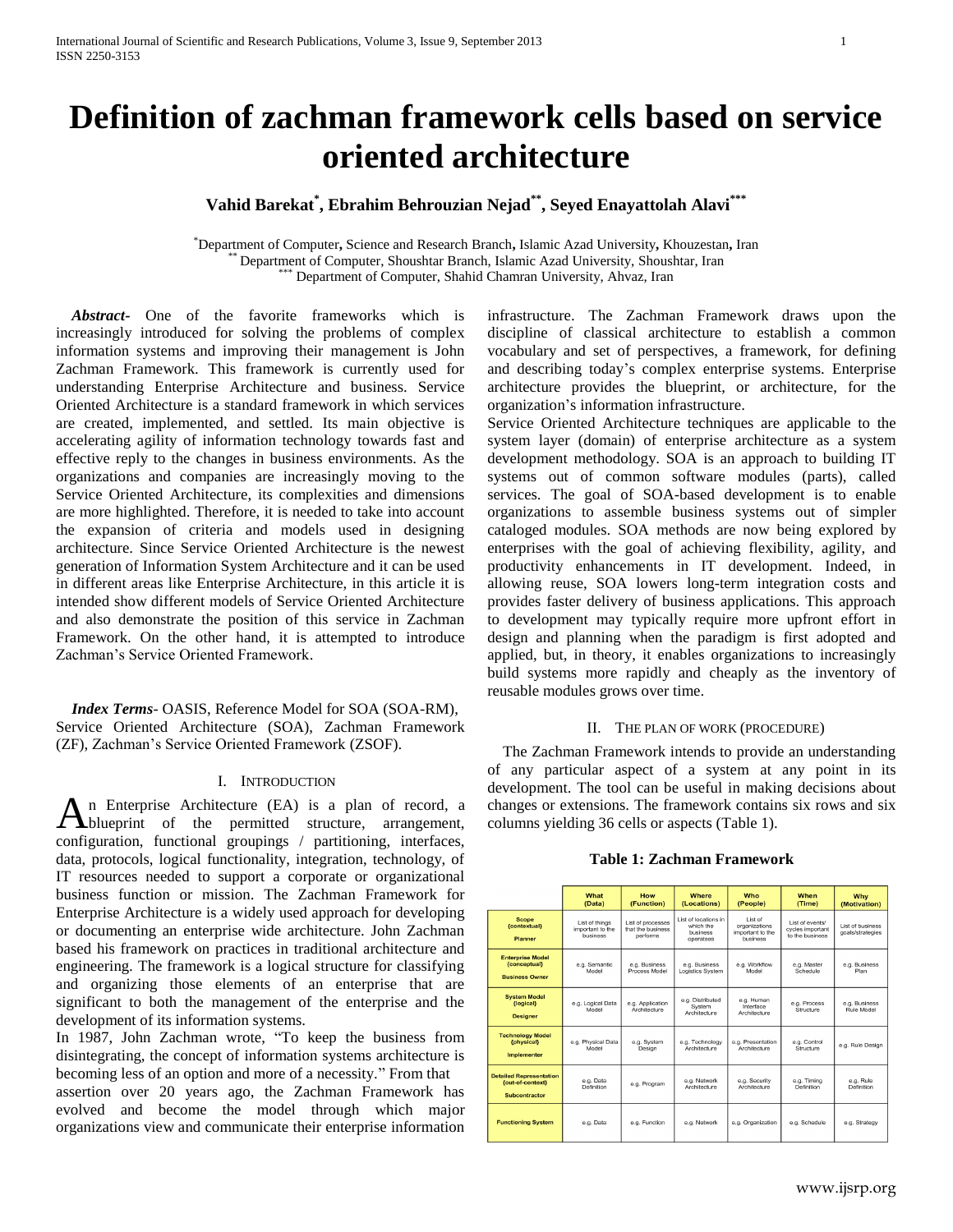# **Definition of zachman framework cells based on service oriented architecture**

# **Vahid Barekat\* , Ebrahim Behrouzian Nejad\*\* , Seyed Enayattolah Alavi\*\*\***

\*Department of Computer**,** Science and Research Branch**,** Islamic Azad University**,** Khouzestan**,** Iran Department of Computer, Shoushtar Branch, Islamic Azad University, Shoushtar, Iran Department of Computer, Shahid Chamran University, Ahvaz, Iran

 *Abstract***-** One of the favorite frameworks which is increasingly introduced for solving the problems of complex information systems and improving their management is John Zachman Framework. This framework is currently used for understanding Enterprise Architecture and business. Service Oriented Architecture is a standard framework in which services are created, implemented, and settled. Its main objective is accelerating agility of information technology towards fast and effective reply to the changes in business environments. As the organizations and companies are increasingly moving to the Service Oriented Architecture, its complexities and dimensions are more highlighted. Therefore, it is needed to take into account the expansion of criteria and models used in designing architecture. Since Service Oriented Architecture is the newest generation of Information System Architecture and it can be used in different areas like Enterprise Architecture, in this article it is intended show different models of Service Oriented Architecture and also demonstrate the position of this service in Zachman Framework. On the other hand, it is attempted to introduce Zachman's Service Oriented Framework.

 *Index Terms*- OASIS, Reference Model for SOA (SOA-RM), Service Oriented Architecture (SOA), Zachman Framework (ZF), Zachman's Service Oriented Framework (ZSOF).

## I. INTRODUCTION

n Enterprise Architecture (EA) is a plan of record, a An Enterprise Architecture (EA) is a plan of record, a blueprint of the permitted structure, arrangement, configuration, functional groupings / partitioning, interfaces, data, protocols, logical functionality, integration, technology, of IT resources needed to support a corporate or organizational business function or mission. The Zachman Framework for Enterprise Architecture is a widely used approach for developing or documenting an enterprise wide architecture. John Zachman based his framework on practices in traditional architecture and engineering. The framework is a logical structure for classifying and organizing those elements of an enterprise that are significant to both the management of the enterprise and the development of its information systems.

In 1987, John Zachman wrote, "To keep the business from disintegrating, the concept of information systems architecture is becoming less of an option and more of a necessity." From that

assertion over 20 years ago, the Zachman Framework has evolved and become the model through which major organizations view and communicate their enterprise information

infrastructure. The Zachman Framework draws upon the discipline of classical architecture to establish a common vocabulary and set of perspectives, a framework, for defining and describing today's complex enterprise systems. Enterprise architecture provides the blueprint, or architecture, for the organization's information infrastructure.

Service Oriented Architecture techniques are applicable to the system layer (domain) of enterprise architecture as a system development methodology. SOA is an approach to building IT systems out of common software modules (parts), called services. The goal of SOA-based development is to enable organizations to assemble business systems out of simpler cataloged modules. SOA methods are now being explored by enterprises with the goal of achieving flexibility, agility, and productivity enhancements in IT development. Indeed, in allowing reuse, SOA lowers long-term integration costs and provides faster delivery of business applications. This approach to development may typically require more upfront effort in design and planning when the paradigm is first adopted and applied, but, in theory, it enables organizations to increasingly build systems more rapidly and cheaply as the inventory of reusable modules grows over time.

#### II. THE PLAN OF WORK (PROCEDURE)

 The Zachman Framework intends to provide an understanding of any particular aspect of a system at any point in its development. The tool can be useful in making decisions about changes or extensions. The framework contains six rows and six columns yielding 36 cells or aspects (Table 1).

## **Table 1: Zachman Framework**

|                                                                            | What<br>(Data)                                       | How<br>(Function)                                  | Where<br>(Locations)                                       | Who<br>(People)                                          | <b>When</b><br>(Time)                                  | Why<br>(Motivation)                  |
|----------------------------------------------------------------------------|------------------------------------------------------|----------------------------------------------------|------------------------------------------------------------|----------------------------------------------------------|--------------------------------------------------------|--------------------------------------|
| <b>Scope</b><br>{contextual}<br><b>Planner</b>                             | List of things<br>important to the<br>business       | List of processes<br>that the business<br>performs | List of locations in<br>which the<br>business<br>operatses | List of<br>organizations<br>important to the<br>business | List of events/<br>cycles important<br>to the business | List of business<br>goals/strategies |
| <b>Enterprise Model</b><br>{conceptual}<br><b>Business Owner</b>           | e.g. Semantic<br>Model                               | e.g. Business<br>Process Model                     | e.g. Business<br><b>Logistics System</b>                   | e.g. Workflow<br>Model                                   | e.g. Master<br>Schedule                                | e.g. Business<br>Plan                |
| <b>System Model</b><br>{logical}<br><b>Designer</b>                        | e.g. Logical Data<br>Model                           | e.g. Application<br>Architecture                   | e.g. Distributed<br>System<br>Architecture                 | e.g. Human<br>Interface<br>Architecture                  | e.g. Process<br>Structure                              | e.g. Business<br>Rule Model          |
| <b>Technology Model</b><br>{physical}<br>Implementer                       | e.g. Physical Data<br>e.g. System<br>Model<br>Design |                                                    | e.g. Technology<br>Architecture                            | e.g. Presentation<br>Architecture                        | e.g. Control<br>Structure                              | e.g. Rule Design                     |
| <b>Detailed Representation</b><br>{out-of-context}<br><b>Subcontractor</b> | e.g. Data<br>e.g. Program<br>Definition              |                                                    | e.g. Network<br>Architecture                               | e.g. Security<br>Architecture                            | e.g. Timing<br>Definition                              | e.g. Rule<br>Definition              |
| <b>Functioning System</b>                                                  | e.g. Data                                            | e.g. Function                                      | e.g. Network                                               | e.g. Organization                                        | e.g. Schedule                                          | e.g. Strategy                        |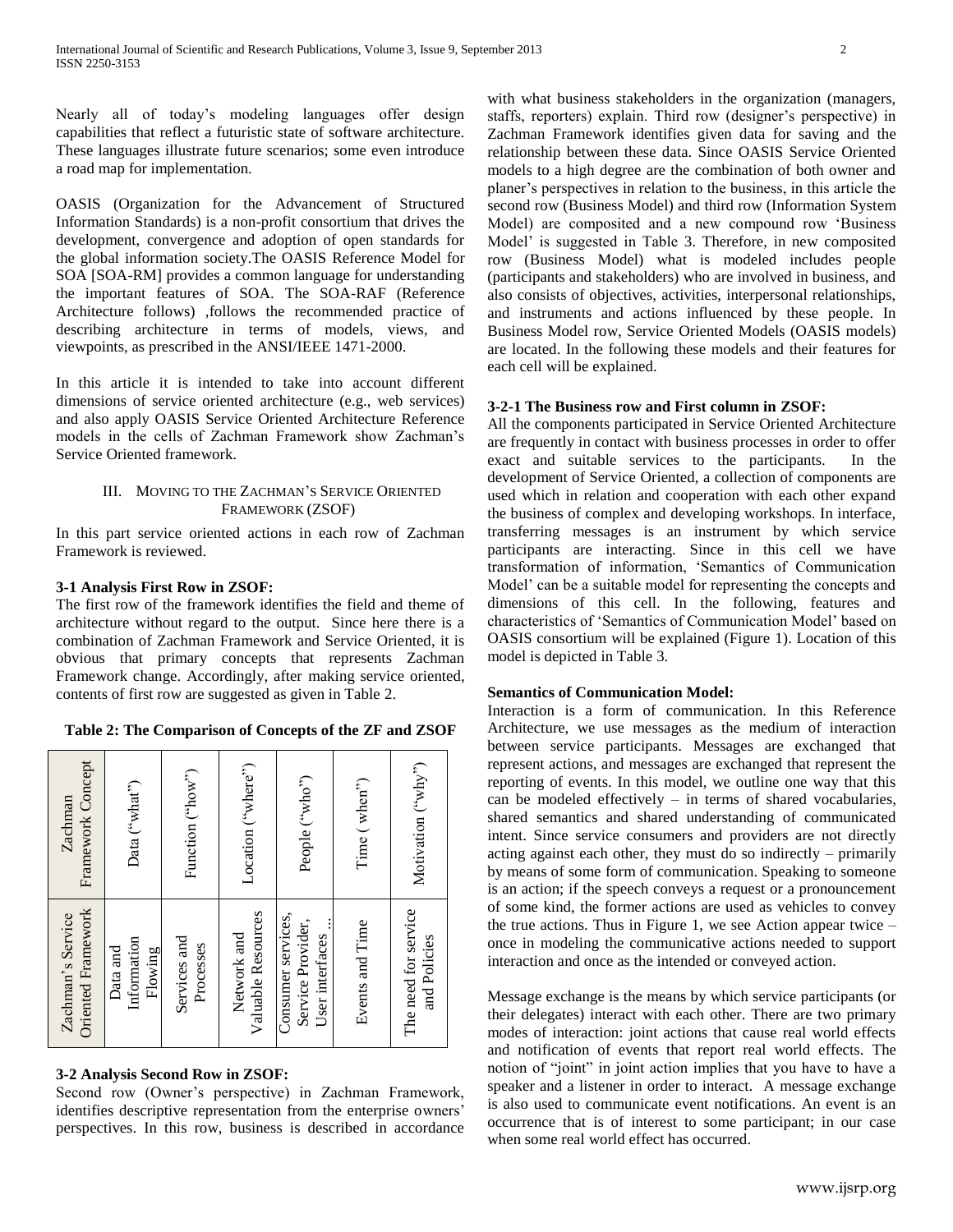Nearly all of today's modeling languages offer design capabilities that reflect a futuristic state of software architecture. These languages illustrate future scenarios; some even introduce a road map for implementation.

OASIS (Organization for the Advancement of Structured Information Standards) is a non-profit consortium that drives the development, convergence and adoption of open standards for the global information society.The OASIS Reference Model for SOA [SOA-RM] provides a common language for understanding the important features of SOA. The SOA-RAF (Reference Architecture follows) ,follows the recommended practice of describing architecture in terms of models, views, and viewpoints, as prescribed in the ANSI/IEEE 1471-2000.

In this article it is intended to take into account different dimensions of service oriented architecture (e.g., web services) and also apply OASIS Service Oriented Architecture Reference models in the cells of Zachman Framework show Zachman's Service Oriented framework.

## III. MOVING TO THE ZACHMAN'S SERVICE ORIENTED FRAMEWORK (ZSOF)

In this part service oriented actions in each row of Zachman Framework is reviewed.

## **3-1 Analysis First Row in ZSOF:**

The first row of the framework identifies the field and theme of architecture without regard to the output. Since here there is a combination of Zachman Framework and Service Oriented, it is obvious that primary concepts that represents Zachman Framework change. Accordingly, after making service oriented, contents of first row are suggested as given in Table 2.

| Framework Concept<br>Zachman            | Data ("what")                      | Function ("how")          | Location ("where")                | People ("who")                                             | Time (when")    | Motivation ("why")                   |
|-----------------------------------------|------------------------------------|---------------------------|-----------------------------------|------------------------------------------------------------|-----------------|--------------------------------------|
| Oriented Framework<br>Zachman's Service | Information<br>Data and<br>Flowing | Services and<br>Processes | Valuable Resources<br>Network and | Consumer services,<br>Service Provider,<br>User interfaces | Events and Time | The need for service<br>and Policies |

**Table 2: The Comparison of Concepts of the ZF and ZSOF**

## **3-2 Analysis Second Row in ZSOF:**

Second row (Owner's perspective) in Zachman Framework, identifies descriptive representation from the enterprise owners' perspectives. In this row, business is described in accordance with what business stakeholders in the organization (managers, staffs, reporters) explain. Third row (designer's perspective) in Zachman Framework identifies given data for saving and the relationship between these data. Since OASIS Service Oriented models to a high degree are the combination of both owner and planer's perspectives in relation to the business, in this article the second row (Business Model) and third row (Information System Model) are composited and a new compound row 'Business Model' is suggested in Table 3. Therefore, in new composited row (Business Model) what is modeled includes people (participants and stakeholders) who are involved in business, and also consists of objectives, activities, interpersonal relationships, and instruments and actions influenced by these people. In Business Model row, Service Oriented Models (OASIS models) are located. In the following these models and their features for each cell will be explained.

## **3-2-1 The Business row and First column in ZSOF:**

All the components participated in Service Oriented Architecture are frequently in contact with business processes in order to offer exact and suitable services to the participants. In the development of Service Oriented, a collection of components are used which in relation and cooperation with each other expand the business of complex and developing workshops. In interface, transferring messages is an instrument by which service participants are interacting. Since in this cell we have transformation of information, 'Semantics of Communication Model' can be a suitable model for representing the concepts and dimensions of this cell. In the following, features and characteristics of 'Semantics of Communication Model' based on OASIS consortium will be explained (Figure 1). Location of this model is depicted in Table 3.

## **Semantics of Communication Model:**

Interaction is a form of communication. In this Reference Architecture, we use messages as the medium of interaction between service participants. Messages are exchanged that represent actions, and messages are exchanged that represent the reporting of events. In this model, we outline one way that this can be modeled effectively – in terms of shared vocabularies, shared semantics and shared understanding of communicated intent. Since service consumers and providers are not directly acting against each other, they must do so indirectly – primarily by means of some form of communication. Speaking to someone is an action; if the speech conveys a request or a pronouncement of some kind, the former actions are used as vehicles to convey the true actions. Thus in Figure 1, we see Action appear twice – once in modeling the communicative actions needed to support interaction and once as the intended or conveyed action.

Message exchange is the means by which service participants (or their delegates) interact with each other. There are two primary modes of interaction: joint actions that cause real world effects and notification of events that report real world effects. The notion of "joint" in joint action implies that you have to have a speaker and a listener in order to interact. A message exchange is also used to communicate event notifications. An event is an occurrence that is of interest to some participant; in our case when some real world effect has occurred.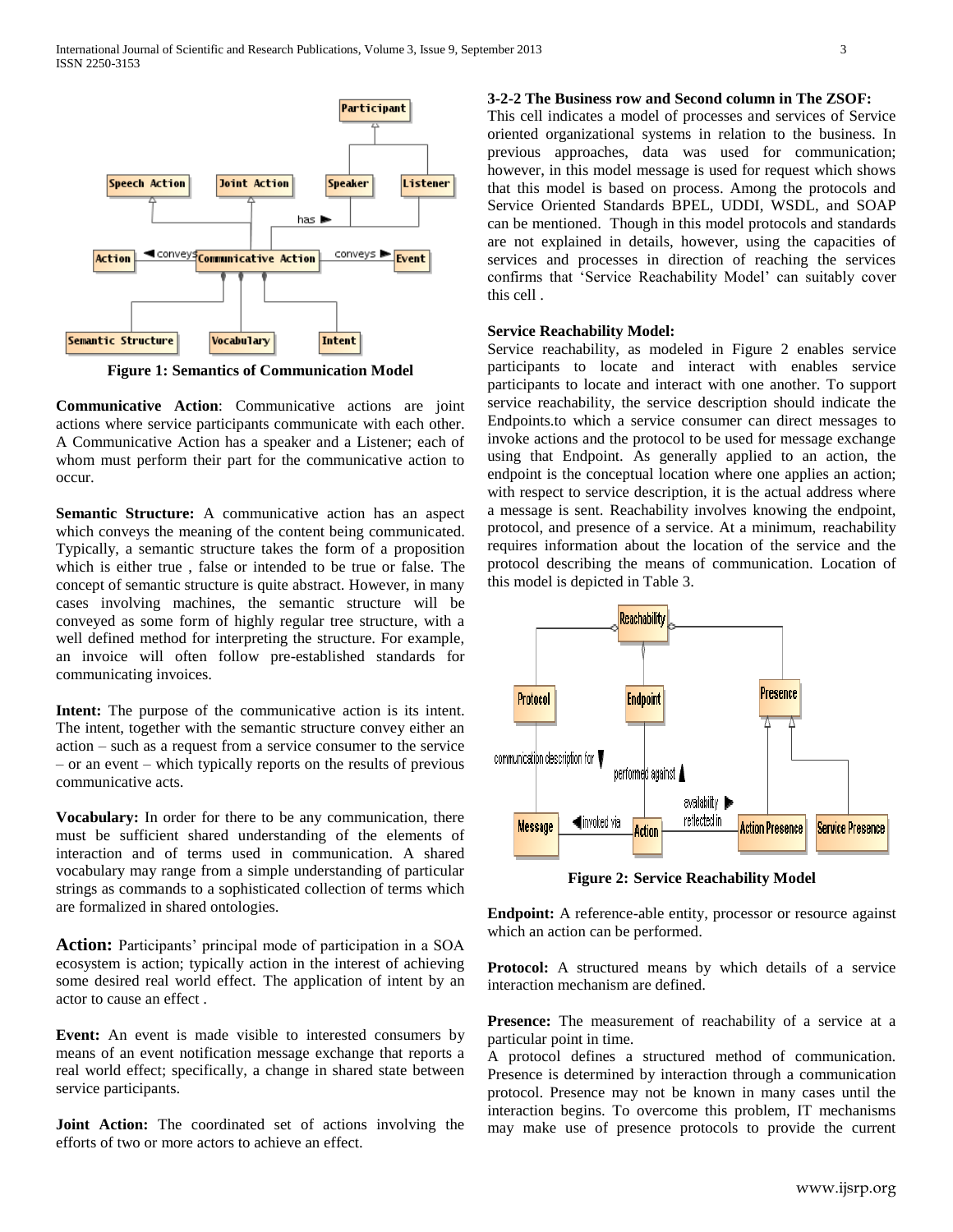

**Figure 1: Semantics of Communication Model**

**Communicative Action**: Communicative actions are joint actions where service participants communicate with each other. A Communicative Action has a speaker and a Listener; each of whom must perform their part for the communicative action to occur.

**Semantic Structure:** A communicative action has an aspect which conveys the meaning of the content being communicated. Typically, a semantic structure takes the form of a proposition which is either true , false or intended to be true or false. The concept of semantic structure is quite abstract. However, in many cases involving machines, the semantic structure will be conveyed as some form of highly regular tree structure, with a well defined method for interpreting the structure. For example, an invoice will often follow pre-established standards for communicating invoices.

**Intent:** The purpose of the communicative action is its intent. The intent, together with the semantic structure convey either an action – such as a request from a service consumer to the service – or an event – which typically reports on the results of previous communicative acts.

**Vocabulary:** In order for there to be any communication, there must be sufficient shared understanding of the elements of interaction and of terms used in communication. A shared vocabulary may range from a simple understanding of particular strings as commands to a sophisticated collection of terms which are formalized in shared ontologies.

**Action:** Participants' principal mode of participation in a SOA ecosystem is action; typically action in the interest of achieving some desired real world effect. The application of intent by an actor to cause an effect .

**Event:** An event is made visible to interested consumers by means of an event notification message exchange that reports a real world effect; specifically, a change in shared state between service participants.

**Joint Action:** The coordinated set of actions involving the efforts of two or more actors to achieve an effect.

## **3-2-2 The Business row and Second column in The ZSOF:**

This cell indicates a model of processes and services of Service oriented organizational systems in relation to the business. In previous approaches, data was used for communication; however, in this model message is used for request which shows that this model is based on process. Among the protocols and Service Oriented Standards BPEL, UDDI, WSDL, and SOAP can be mentioned. Though in this model protocols and standards are not explained in details, however, using the capacities of services and processes in direction of reaching the services confirms that 'Service Reachability Model' can suitably cover this cell .

#### **Service Reachability Model:**

Service reachability, as modeled in Figure 2 enables service participants to locate and interact with enables service participants to locate and interact with one another. To support service reachability, the service description should indicate the Endpoints.to which a service consumer can direct messages to invoke actions and the protocol to be used for message exchange using that Endpoint. As generally applied to an action, the endpoint is the conceptual location where one applies an action; with respect to service description, it is the actual address where a message is sent. Reachability involves knowing the endpoint, protocol, and presence of a service. At a minimum, reachability requires information about the location of the service and the protocol describing the means of communication. Location of this model is depicted in Table 3.



**Figure 2: Service Reachability Model**

**Endpoint:** A reference-able entity, processor or resource against which an action can be performed.

**Protocol:** A structured means by which details of a service interaction mechanism are defined.

**Presence:** The measurement of reachability of a service at a particular point in time.

A protocol defines a structured method of communication. Presence is determined by interaction through a communication protocol. Presence may not be known in many cases until the interaction begins. To overcome this problem, IT mechanisms may make use of presence protocols to provide the current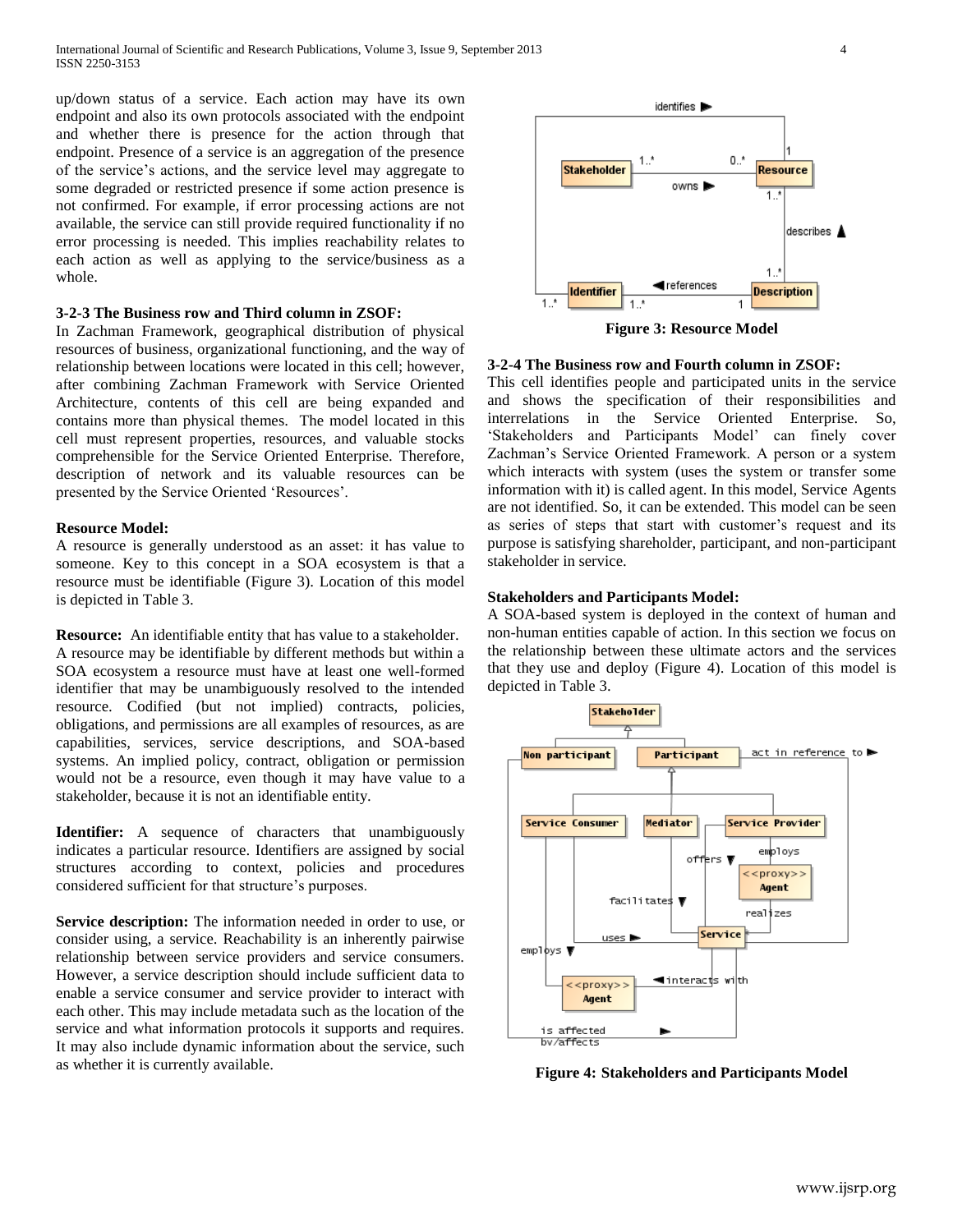up/down status of a service. Each action may have its own endpoint and also its own protocols associated with the endpoint and whether there is presence for the action through that endpoint. Presence of a service is an aggregation of the presence of the service's actions, and the service level may aggregate to some degraded or restricted presence if some action presence is not confirmed. For example, if error processing actions are not available, the service can still provide required functionality if no error processing is needed. This implies reachability relates to each action as well as applying to the service/business as a whole.

## **3-2-3 The Business row and Third column in ZSOF:**

In Zachman Framework, geographical distribution of physical resources of business, organizational functioning, and the way of relationship between locations were located in this cell; however, after combining Zachman Framework with Service Oriented Architecture, contents of this cell are being expanded and contains more than physical themes. The model located in this cell must represent properties, resources, and valuable stocks comprehensible for the Service Oriented Enterprise. Therefore, description of network and its valuable resources can be presented by the Service Oriented 'Resources'.

#### **Resource Model:**

A resource is generally understood as an asset: it has value to someone. Key to this concept in a SOA ecosystem is that a resource must be identifiable (Figure 3). Location of this model is depicted in Table 3.

**Resource:** An identifiable entity that has value to a stakeholder. A resource may be identifiable by different methods but within a SOA ecosystem a resource must have at least one well-formed identifier that may be unambiguously resolved to the intended resource. Codified (but not implied) contracts, policies, obligations, and permissions are all examples of resources, as are capabilities, services, service descriptions, and SOA-based systems. An implied policy, contract, obligation or permission would not be a resource, even though it may have value to a stakeholder, because it is not an identifiable entity.

**Identifier:** A sequence of characters that unambiguously indicates a particular resource. Identifiers are assigned by social structures according to context, policies and procedures considered sufficient for that structure's purposes.

**Service description:** The information needed in order to use, or consider using, a service. Reachability is an inherently pairwise relationship between service providers and service consumers. However, a service description should include sufficient data to enable a service consumer and service provider to interact with each other. This may include metadata such as the location of the service and what information protocols it supports and requires. It may also include dynamic information about the service, such as whether it is currently available.



**Figure 3: Resource Model**

#### **3-2-4 The Business row and Fourth column in ZSOF:**

This cell identifies people and participated units in the service and shows the specification of their responsibilities and interrelations in the Service Oriented Enterprise. So, 'Stakeholders and Participants Model' can finely cover Zachman's Service Oriented Framework. A person or a system which interacts with system (uses the system or transfer some information with it) is called agent. In this model, Service Agents are not identified. So, it can be extended. This model can be seen as series of steps that start with customer's request and its purpose is satisfying shareholder, participant, and non-participant stakeholder in service.

## **Stakeholders and Participants Model:**

A SOA-based system is deployed in the context of human and non-human entities capable of action. In this section we focus on the relationship between these ultimate actors and the services that they use and deploy (Figure 4). Location of this model is depicted in Table 3.



**Figure 4: Stakeholders and Participants Model**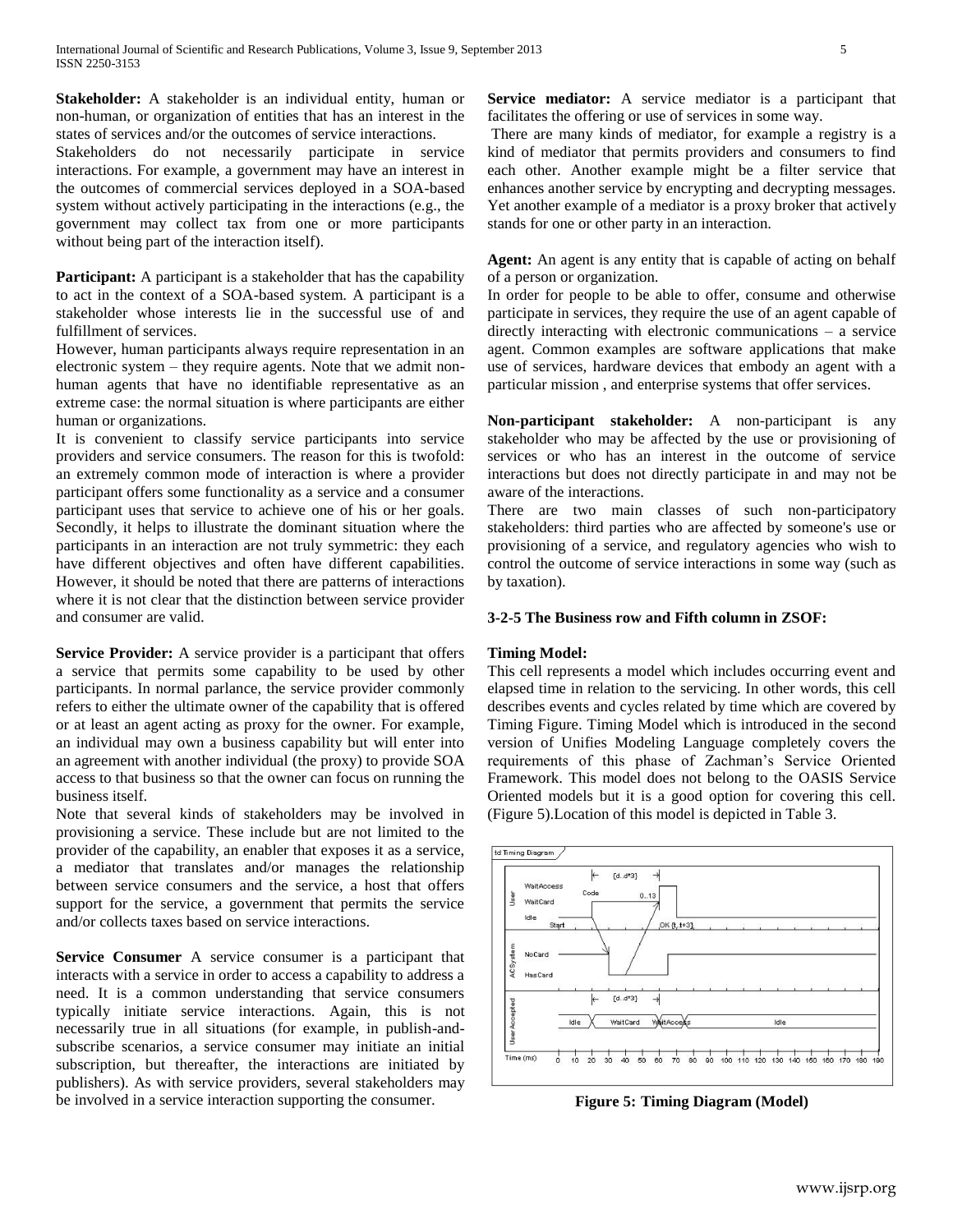**Stakeholder:** A stakeholder is an individual entity, human or non-human, or organization of entities that has an interest in the states of services and/or the outcomes of service interactions.

Stakeholders do not necessarily participate in service interactions. For example, a government may have an interest in the outcomes of commercial services deployed in a SOA-based system without actively participating in the interactions (e.g., the government may collect tax from one or more participants without being part of the interaction itself).

Participant: A participant is a stakeholder that has the capability to act in the context of a SOA-based system. A participant is a stakeholder whose interests lie in the successful use of and fulfillment of services.

However, human participants always require representation in an electronic system – they require agents. Note that we admit nonhuman agents that have no identifiable representative as an extreme case: the normal situation is where participants are either human or organizations.

It is convenient to classify service participants into service providers and service consumers. The reason for this is twofold: an extremely common mode of interaction is where a provider participant offers some functionality as a service and a consumer participant uses that service to achieve one of his or her goals. Secondly, it helps to illustrate the dominant situation where the participants in an interaction are not truly symmetric: they each have different objectives and often have different capabilities. However, it should be noted that there are patterns of interactions where it is not clear that the distinction between service provider and consumer are valid.

**Service Provider:** A service provider is a participant that offers a service that permits some capability to be used by other participants. In normal parlance, the service provider commonly refers to either the ultimate owner of the capability that is offered or at least an agent acting as proxy for the owner. For example, an individual may own a business capability but will enter into an agreement with another individual (the proxy) to provide SOA access to that business so that the owner can focus on running the business itself.

Note that several kinds of stakeholders may be involved in provisioning a service. These include but are not limited to the provider of the capability, an enabler that exposes it as a service, a mediator that translates and/or manages the relationship between service consumers and the service, a host that offers support for the service, a government that permits the service and/or collects taxes based on service interactions.

**Service Consumer** A service consumer is a participant that interacts with a service in order to access a capability to address a need. It is a common understanding that service consumers typically initiate service interactions. Again, this is not necessarily true in all situations (for example, in publish-andsubscribe scenarios, a service consumer may initiate an initial subscription, but thereafter, the interactions are initiated by publishers). As with service providers, several stakeholders may be involved in a service interaction supporting the consumer.

**Service mediator:** A service mediator is a participant that facilitates the offering or use of services in some way.

There are many kinds of mediator, for example a registry is a kind of mediator that permits providers and consumers to find each other. Another example might be a filter service that enhances another service by encrypting and decrypting messages. Yet another example of a mediator is a proxy broker that actively stands for one or other party in an interaction.

**Agent:** An agent is any entity that is capable of acting on behalf of a person or organization.

In order for people to be able to offer, consume and otherwise participate in services, they require the use of an agent capable of directly interacting with electronic communications – a service agent. Common examples are software applications that make use of services, hardware devices that embody an agent with a particular mission , and enterprise systems that offer services.

**Non-participant stakeholder:** A non-participant is any stakeholder who may be affected by the use or provisioning of services or who has an interest in the outcome of service interactions but does not directly participate in and may not be aware of the interactions.

There are two main classes of such non-participatory stakeholders: third parties who are affected by someone's use or provisioning of a service, and regulatory agencies who wish to control the outcome of service interactions in some way (such as by taxation).

## **3-2-5 The Business row and Fifth column in ZSOF:**

## **Timing Model:**

This cell represents a model which includes occurring event and elapsed time in relation to the servicing. In other words, this cell describes events and cycles related by time which are covered by Timing Figure. Timing Model which is introduced in the second version of Unifies Modeling Language completely covers the requirements of this phase of Zachman's Service Oriented Framework. This model does not belong to the OASIS Service Oriented models but it is a good option for covering this cell. (Figure 5).Location of this model is depicted in Table 3.



**Figure 5: Timing Diagram (Model)**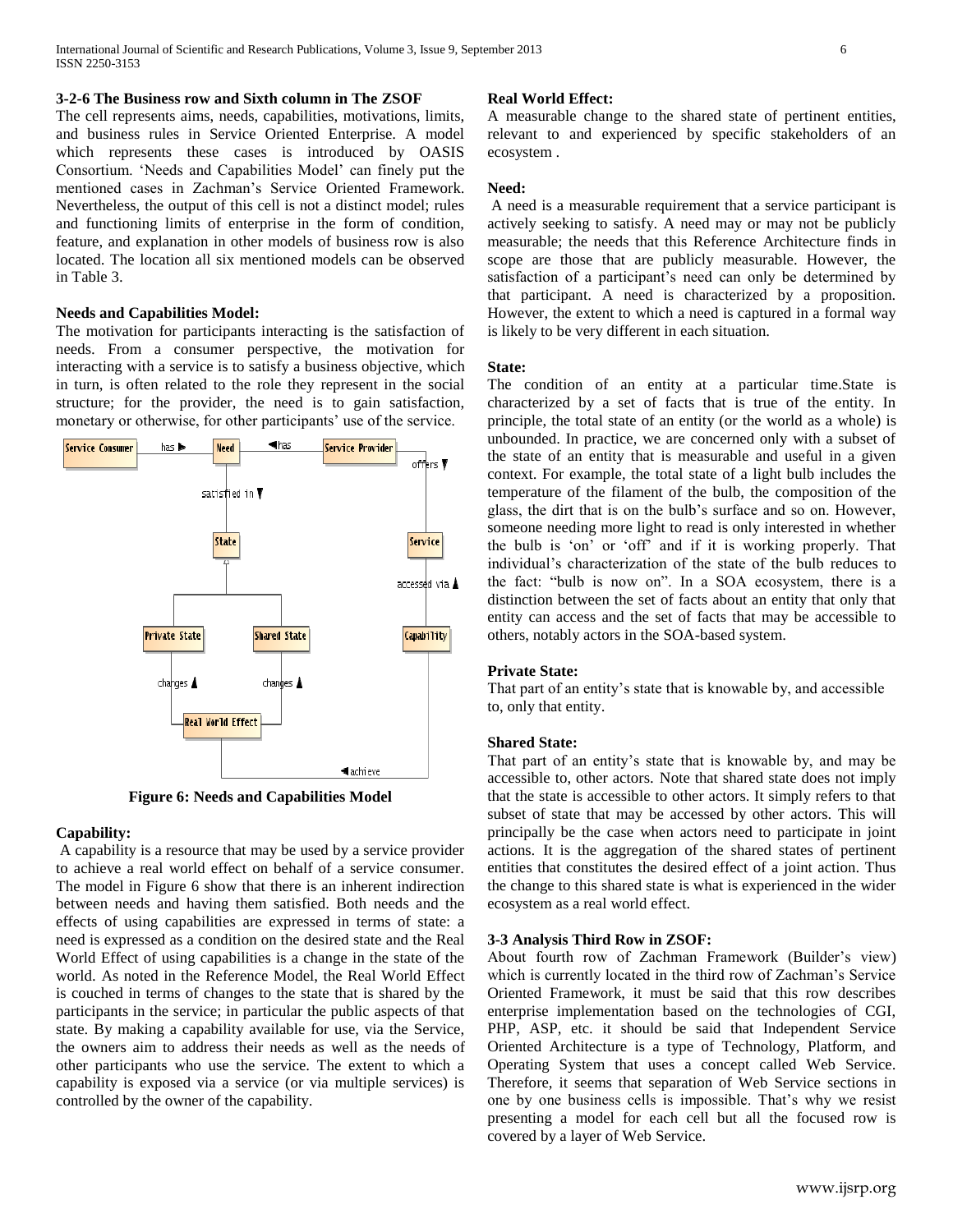## **3-2-6 The Business row and Sixth column in The ZSOF**

The cell represents aims, needs, capabilities, motivations, limits, and business rules in Service Oriented Enterprise. A model which represents these cases is introduced by OASIS Consortium. 'Needs and Capabilities Model' can finely put the mentioned cases in Zachman's Service Oriented Framework. Nevertheless, the output of this cell is not a distinct model; rules and functioning limits of enterprise in the form of condition, feature, and explanation in other models of business row is also located. The location all six mentioned models can be observed in Table 3.

## **Needs and Capabilities Model:**

The motivation for participants interacting is the satisfaction of needs. From a consumer perspective, the motivation for interacting with a service is to satisfy a business objective, which in turn, is often related to the role they represent in the social structure; for the provider, the need is to gain satisfaction, monetary or otherwise, for other participants' use of the service.

![](_page_5_Figure_5.jpeg)

**Figure 6: Needs and Capabilities Model** 

#### **Capability:**

A capability is a resource that may be used by a service provider to achieve a real world effect on behalf of a service consumer. The model in Figure 6 show that there is an inherent indirection between needs and having them satisfied. Both needs and the effects of using capabilities are expressed in terms of state: a need is expressed as a condition on the desired state and the Real World Effect of using capabilities is a change in the state of the world. As noted in the Reference Model, the Real World Effect is couched in terms of changes to the state that is shared by the participants in the service; in particular the public aspects of that state. By making a capability available for use, via the Service, the owners aim to address their needs as well as the needs of other participants who use the service. The extent to which a capability is exposed via a service (or via multiple services) is controlled by the owner of the capability.

## **Real World Effect:**

A measurable change to the shared state of pertinent entities, relevant to and experienced by specific stakeholders of an ecosystem .

## **Need:**

A need is a measurable requirement that a service participant is actively seeking to satisfy. A need may or may not be publicly measurable; the needs that this Reference Architecture finds in scope are those that are publicly measurable. However, the satisfaction of a participant's need can only be determined by that participant. A need is characterized by a proposition. However, the extent to which a need is captured in a formal way is likely to be very different in each situation.

## **State:**

The condition of an entity at a particular time.State is characterized by a set of facts that is true of the entity. In principle, the total state of an entity (or the world as a whole) is unbounded. In practice, we are concerned only with a subset of the state of an entity that is measurable and useful in a given context. For example, the total state of a light bulb includes the temperature of the filament of the bulb, the composition of the glass, the dirt that is on the bulb's surface and so on. However, someone needing more light to read is only interested in whether the bulb is 'on' or 'off' and if it is working properly. That individual's characterization of the state of the bulb reduces to the fact: "bulb is now on". In a SOA ecosystem, there is a distinction between the set of facts about an entity that only that entity can access and the set of facts that may be accessible to others, notably actors in the SOA-based system.

#### **Private State:**

That part of an entity's state that is knowable by, and accessible to, only that entity.

## **Shared State:**

That part of an entity's state that is knowable by, and may be accessible to, other actors. Note that shared state does not imply that the state is accessible to other actors. It simply refers to that subset of state that may be accessed by other actors. This will principally be the case when actors need to participate in joint actions. It is the aggregation of the shared states of pertinent entities that constitutes the desired effect of a joint action. Thus the change to this shared state is what is experienced in the wider ecosystem as a real world effect.

#### **3-3 Analysis Third Row in ZSOF:**

About fourth row of Zachman Framework (Builder's view) which is currently located in the third row of Zachman's Service Oriented Framework, it must be said that this row describes enterprise implementation based on the technologies of CGI, PHP, ASP, etc. it should be said that Independent Service Oriented Architecture is a type of Technology, Platform, and Operating System that uses a concept called Web Service. Therefore, it seems that separation of Web Service sections in one by one business cells is impossible. That's why we resist presenting a model for each cell but all the focused row is covered by a layer of Web Service.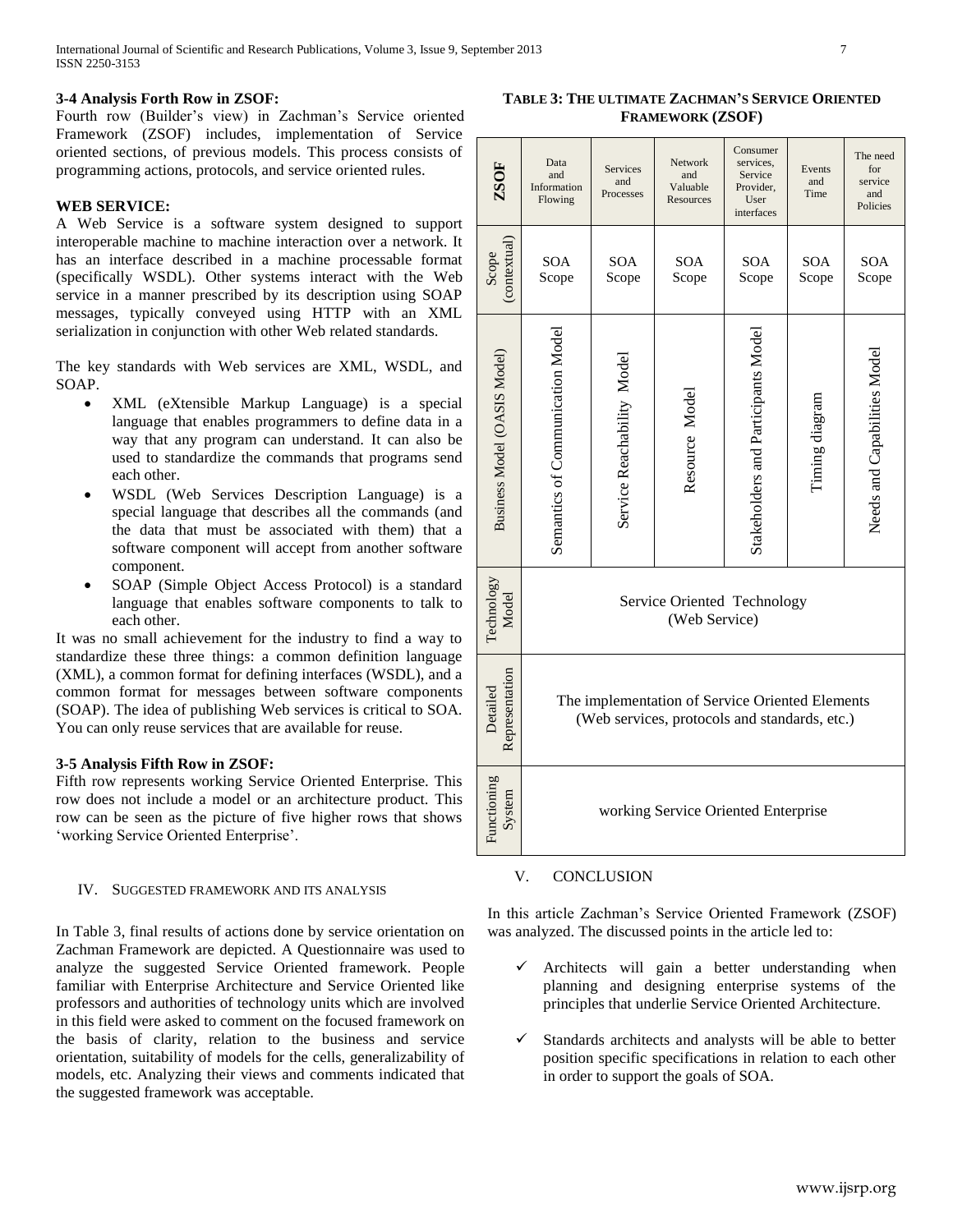## **3-4 Analysis Forth Row in ZSOF:**

Fourth row (Builder's view) in Zachman's Service oriented Framework (ZSOF) includes, implementation of Service oriented sections, of previous models. This process consists of programming actions, protocols, and service oriented rules.

## **WEB SERVICE:**

A Web Service is a software system designed to support interoperable machine to machine interaction over a network. It has an interface described in a machine processable format (specifically WSDL). Other systems interact with the Web service in a manner prescribed by its description using SOAP messages, typically conveyed using HTTP with an XML serialization in conjunction with other Web related standards.

The key standards with Web services are XML, WSDL, and SOAP.

- XML (eXtensible Markup Language) is a special language that enables programmers to define data in a way that any program can understand. It can also be used to standardize the commands that programs send each other.
- WSDL (Web Services Description Language) is a special language that describes all the commands (and the data that must be associated with them) that a software component will accept from another software component.
- SOAP (Simple Object Access Protocol) is a standard language that enables software components to talk to each other.

It was no small achievement for the industry to find a way to standardize these three things: a common definition language (XML), a common format for defining interfaces (WSDL), and a common format for messages between software components (SOAP). The idea of publishing Web services is critical to SOA. You can only reuse services that are available for reuse.

## **3-5 Analysis Fifth Row in ZSOF:**

Fifth row represents working Service Oriented Enterprise. This row does not include a model or an architecture product. This row can be seen as the picture of five higher rows that shows 'working Service Oriented Enterprise'.

## IV. SUGGESTED FRAMEWORK AND ITS ANALYSIS

In Table 3, final results of actions done by service orientation on Zachman Framework are depicted. A Questionnaire was used to analyze the suggested Service Oriented framework. People familiar with Enterprise Architecture and Service Oriented like professors and authorities of technology units which are involved in this field were asked to comment on the focused framework on the basis of clarity, relation to the business and service orientation, suitability of models for the cells, generalizability of models, etc. Analyzing their views and comments indicated that the suggested framework was acceptable.

**TABLE 3: THE ULTIMATE ZACHMAN'S SERVICE ORIENTED FRAMEWORK (ZSOF)**

| <b>ZSOF</b>                  | Data<br>and<br>Information<br>Flowing           | Services<br>and<br>Processes | Network<br>and<br>Valuable<br>Resources | Consumer<br>services.<br>Service<br>Provider,<br>User<br>interfaces | Events<br>and<br>Time | The need<br>for<br>service<br>and<br>Policies |  |
|------------------------------|-------------------------------------------------|------------------------------|-----------------------------------------|---------------------------------------------------------------------|-----------------------|-----------------------------------------------|--|
| (contextual)                 | SOA                                             | SOA                          | <b>SOA</b>                              | <b>SOA</b>                                                          | <b>SOA</b>            | <b>SOA</b>                                    |  |
| Scope                        | Scope                                           | Scope                        | Scope                                   | Scope                                                               | Scope                 | Scope                                         |  |
| Business Model (OASIS Model) | Semantics of Communication Model                | Service Reachability Model   | Resource Model                          | Stakeholders and Participants Model                                 | Timing diagram        | Needs and Capabilities Model                  |  |
| Technology                   | Service Oriented Technology                     |                              |                                         |                                                                     |                       |                                               |  |
| Model                        | (Web Service)                                   |                              |                                         |                                                                     |                       |                                               |  |
| Representation               | The implementation of Service Oriented Elements |                              |                                         |                                                                     |                       |                                               |  |
| Detailed                     | (Web services, protocols and standards, etc.)   |                              |                                         |                                                                     |                       |                                               |  |
| Functioning<br>System        | working Service Oriented Enterprise             |                              |                                         |                                                                     |                       |                                               |  |

## V. CONCLUSION

In this article Zachman's Service Oriented Framework (ZSOF) was analyzed. The discussed points in the article led to:

- Architects will gain a better understanding when planning and designing enterprise systems of the principles that underlie Service Oriented Architecture.
- Standards architects and analysts will be able to better position specific specifications in relation to each other in order to support the goals of SOA.